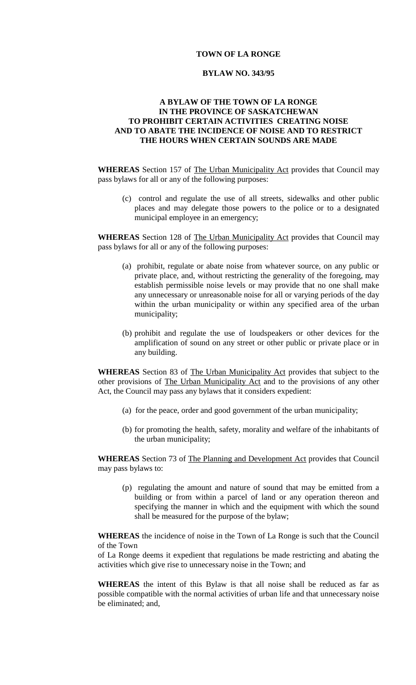## **TOWN OF LA RONGE**

### **BYLAW NO. 343/95**

# **A BYLAW OF THE TOWN OF LA RONGE IN THE PROVINCE OF SASKATCHEWAN TO PROHIBIT CERTAIN ACTIVITIES CREATING NOISE AND TO ABATE THE INCIDENCE OF NOISE AND TO RESTRICT THE HOURS WHEN CERTAIN SOUNDS ARE MADE**

**WHEREAS** Section 157 of The Urban Municipality Act provides that Council may pass bylaws for all or any of the following purposes:

(c) control and regulate the use of all streets, sidewalks and other public places and may delegate those powers to the police or to a designated municipal employee in an emergency;

**WHEREAS** Section 128 of The Urban Municipality Act provides that Council may pass bylaws for all or any of the following purposes:

- (a) prohibit, regulate or abate noise from whatever source, on any public or private place, and, without restricting the generality of the foregoing, may establish permissible noise levels or may provide that no one shall make any unnecessary or unreasonable noise for all or varying periods of the day within the urban municipality or within any specified area of the urban municipality;
- (b) prohibit and regulate the use of loudspeakers or other devices for the amplification of sound on any street or other public or private place or in any building.

**WHEREAS** Section 83 of The Urban Municipality Act provides that subject to the other provisions of The Urban Municipality Act and to the provisions of any other Act, the Council may pass any bylaws that it considers expedient:

- (a) for the peace, order and good government of the urban municipality;
- (b) for promoting the health, safety, morality and welfare of the inhabitants of the urban municipality;

**WHEREAS** Section 73 of The Planning and Development Act provides that Council may pass bylaws to:

(p) regulating the amount and nature of sound that may be emitted from a building or from within a parcel of land or any operation thereon and specifying the manner in which and the equipment with which the sound shall be measured for the purpose of the bylaw;

**WHEREAS** the incidence of noise in the Town of La Ronge is such that the Council of the Town

of La Ronge deems it expedient that regulations be made restricting and abating the activities which give rise to unnecessary noise in the Town; and

**WHEREAS** the intent of this Bylaw is that all noise shall be reduced as far as possible compatible with the normal activities of urban life and that unnecessary noise be eliminated; and,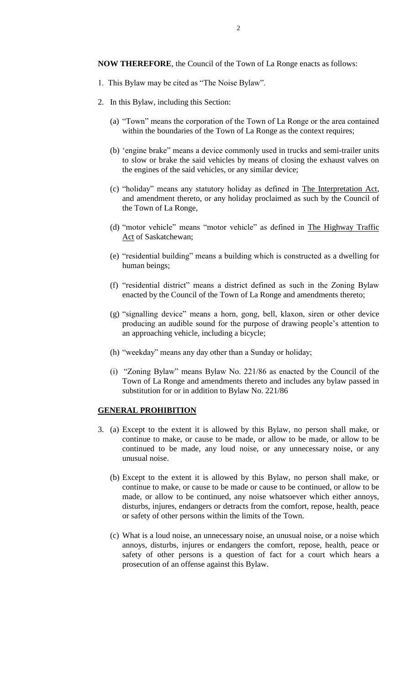**NOW THEREFORE**, the Council of the Town of La Ronge enacts as follows:

- 1. This Bylaw may be cited as "The Noise Bylaw".
- 2. In this Bylaw, including this Section:
	- (a) "Town" means the corporation of the Town of La Ronge or the area contained within the boundaries of the Town of La Ronge as the context requires;
	- (b) 'engine brake" means a device commonly used in trucks and semi-trailer units to slow or brake the said vehicles by means of closing the exhaust valves on the engines of the said vehicles, or any similar device;
	- (c) "holiday" means any statutory holiday as defined in The Interpretation Act, and amendment thereto, or any holiday proclaimed as such by the Council of the Town of La Ronge,
	- (d) "motor vehicle" means "motor vehicle" as defined in The Highway Traffic Act of Saskatchewan;
	- (e) "residential building" means a building which is constructed as a dwelling for human beings;
	- (f) "residential district" means a district defined as such in the Zoning Bylaw enacted by the Council of the Town of La Ronge and amendments thereto;
	- (g) "signalling device" means a horn, gong, bell, klaxon, siren or other device producing an audible sound for the purpose of drawing people's attention to an approaching vehicle, including a bicycle;
	- (h) "weekday" means any day other than a Sunday or holiday;
	- (i) "Zoning Bylaw" means Bylaw No. 221/86 as enacted by the Council of the Town of La Ronge and amendments thereto and includes any bylaw passed in substitution for or in addition to Bylaw No. 221/86

## **GENERAL PROHIBITION**

- 3. (a) Except to the extent it is allowed by this Bylaw, no person shall make, or continue to make, or cause to be made, or allow to be made, or allow to be continued to be made, any loud noise, or any unnecessary noise, or any unusual noise.
	- (b) Except to the extent it is allowed by this Bylaw, no person shall make, or continue to make, or cause to be made or cause to be continued, or allow to be made, or allow to be continued, any noise whatsoever which either annoys, disturbs, injures, endangers or detracts from the comfort, repose, health, peace or safety of other persons within the limits of the Town.
	- (c) What is a loud noise, an unnecessary noise, an unusual noise, or a noise which annoys, disturbs, injures or endangers the comfort, repose, health, peace or safety of other persons is a question of fact for a court which hears a prosecution of an offense against this Bylaw.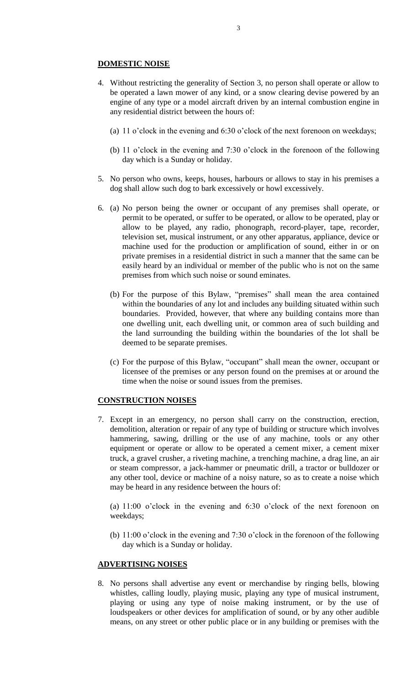### **DOMESTIC NOISE**

- 4. Without restricting the generality of Section 3, no person shall operate or allow to be operated a lawn mower of any kind, or a snow clearing devise powered by an engine of any type or a model aircraft driven by an internal combustion engine in any residential district between the hours of:
	- (a) 11 o'clock in the evening and 6:30 o'clock of the next forenoon on weekdays;
	- (b) 11 o'clock in the evening and 7:30 o'clock in the forenoon of the following day which is a Sunday or holiday.
- 5. No person who owns, keeps, houses, harbours or allows to stay in his premises a dog shall allow such dog to bark excessively or howl excessively.
- 6. (a) No person being the owner or occupant of any premises shall operate, or permit to be operated, or suffer to be operated, or allow to be operated, play or allow to be played, any radio, phonograph, record-player, tape, recorder, television set, musical instrument, or any other apparatus, appliance, device or machine used for the production or amplification of sound, either in or on private premises in a residential district in such a manner that the same can be easily heard by an individual or member of the public who is not on the same premises from which such noise or sound eminates.
	- (b) For the purpose of this Bylaw, "premises" shall mean the area contained within the boundaries of any lot and includes any building situated within such boundaries. Provided, however, that where any building contains more than one dwelling unit, each dwelling unit, or common area of such building and the land surrounding the building within the boundaries of the lot shall be deemed to be separate premises.
	- (c) For the purpose of this Bylaw, "occupant" shall mean the owner, occupant or licensee of the premises or any person found on the premises at or around the time when the noise or sound issues from the premises.

## **CONSTRUCTION NOISES**

7. Except in an emergency, no person shall carry on the construction, erection, demolition, alteration or repair of any type of building or structure which involves hammering, sawing, drilling or the use of any machine, tools or any other equipment or operate or allow to be operated a cement mixer, a cement mixer truck, a gravel crusher, a riveting machine, a trenching machine, a drag line, an air or steam compressor, a jack-hammer or pneumatic drill, a tractor or bulldozer or any other tool, device or machine of a noisy nature, so as to create a noise which may be heard in any residence between the hours of:

(a) 11:00 o'clock in the evening and 6:30 o'clock of the next forenoon on weekdays;

(b) 11:00 o'clock in the evening and 7:30 o'clock in the forenoon of the following day which is a Sunday or holiday.

## **ADVERTISING NOISES**

8. No persons shall advertise any event or merchandise by ringing bells, blowing whistles, calling loudly, playing music, playing any type of musical instrument, playing or using any type of noise making instrument, or by the use of loudspeakers or other devices for amplification of sound, or by any other audible means, on any street or other public place or in any building or premises with the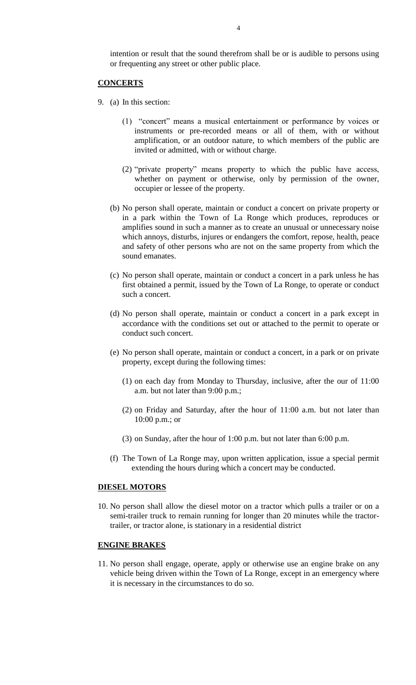intention or result that the sound therefrom shall be or is audible to persons using or frequenting any street or other public place.

### **CONCERTS**

- 9. (a) In this section:
	- (1) "concert" means a musical entertainment or performance by voices or instruments or pre-recorded means or all of them, with or without amplification, or an outdoor nature, to which members of the public are invited or admitted, with or without charge.
	- (2) "private property" means property to which the public have access, whether on payment or otherwise, only by permission of the owner, occupier or lessee of the property.
	- (b) No person shall operate, maintain or conduct a concert on private property or in a park within the Town of La Ronge which produces, reproduces or amplifies sound in such a manner as to create an unusual or unnecessary noise which annoys, disturbs, injures or endangers the comfort, repose, health, peace and safety of other persons who are not on the same property from which the sound emanates.
	- (c) No person shall operate, maintain or conduct a concert in a park unless he has first obtained a permit, issued by the Town of La Ronge, to operate or conduct such a concert.
	- (d) No person shall operate, maintain or conduct a concert in a park except in accordance with the conditions set out or attached to the permit to operate or conduct such concert.
	- (e) No person shall operate, maintain or conduct a concert, in a park or on private property, except during the following times:
		- (1) on each day from Monday to Thursday, inclusive, after the our of 11:00 a.m. but not later than 9:00 p.m.;
		- (2) on Friday and Saturday, after the hour of 11:00 a.m. but not later than 10:00 p.m.; or
		- (3) on Sunday, after the hour of 1:00 p.m. but not later than 6:00 p.m.
	- (f) The Town of La Ronge may, upon written application, issue a special permit extending the hours during which a concert may be conducted.

#### **DIESEL MOTORS**

10. No person shall allow the diesel motor on a tractor which pulls a trailer or on a semi-trailer truck to remain running for longer than 20 minutes while the tractortrailer, or tractor alone, is stationary in a residential district

#### **ENGINE BRAKES**

11. No person shall engage, operate, apply or otherwise use an engine brake on any vehicle being driven within the Town of La Ronge, except in an emergency where it is necessary in the circumstances to do so.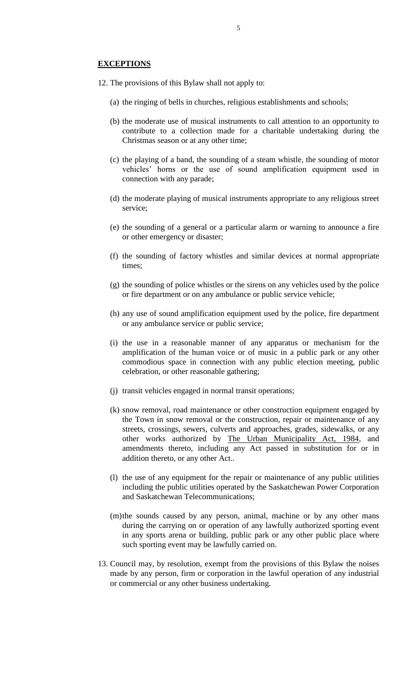- 12. The provisions of this Bylaw shall not apply to:
	- (a) the ringing of bells in churches, religious establishments and schools;
	- (b) the moderate use of musical instruments to call attention to an opportunity to contribute to a collection made for a charitable undertaking during the Christmas season or at any other time;
	- (c) the playing of a band, the sounding of a steam whistle, the sounding of motor vehicles' horns or the use of sound amplification equipment used in connection with any parade;
	- (d) the moderate playing of musical instruments appropriate to any religious street service;
	- (e) the sounding of a general or a particular alarm or warning to announce a fire or other emergency or disaster;
	- (f) the sounding of factory whistles and similar devices at normal appropriate times;
	- (g) the sounding of police whistles or the sirens on any vehicles used by the police or fire department or on any ambulance or public service vehicle;
	- (h) any use of sound amplification equipment used by the police, fire department or any ambulance service or public service;
	- (i) the use in a reasonable manner of any apparatus or mechanism for the amplification of the human voice or of music in a public park or any other commodious space in connection with any public election meeting, public celebration, or other reasonable gathering;
	- (j) transit vehicles engaged in normal transit operations;
	- (k) snow removal, road maintenance or other construction equipment engaged by the Town in snow removal or the construction, repair or maintenance of any streets, crossings, sewers, culverts and approaches, grades, sidewalks, or any other works authorized by The Urban Municipality Act, 1984, and amendments thereto, including any Act passed in substitution for or in addition thereto, or any other Act..
	- (l) the use of any equipment for the repair or maintenance of any public utilities including the public utilities operated by the Saskatchewan Power Corporation and Saskatchewan Telecommunications;
	- (m)the sounds caused by any person, animal, machine or by any other mans during the carrying on or operation of any lawfully authorized sporting event in any sports arena or building, public park or any other public place where such sporting event may be lawfully carried on.
- 13. Council may, by resolution, exempt from the provisions of this Bylaw the noises made by any person, firm or corporation in the lawful operation of any industrial or commercial or any other business undertaking.